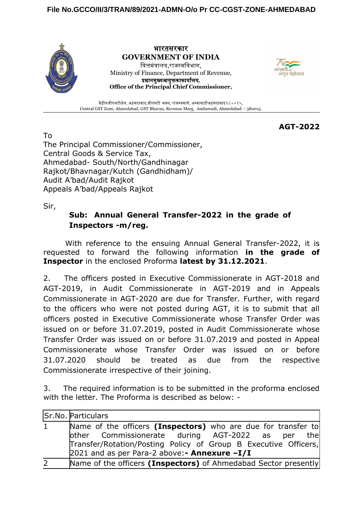

भारतसरकार **GOVERNMENT OF INDIA** वित्तमंत्रालय,राजस्वविभाग, Ministry of Finance, Department of Revenue, प्रधानमुख्यआयुक्तकाकार्यालय, **Office of the Principal Chief Commissioner,**



केंद्रीयजीएसटीक्षेत्र, अहमदाबाद,जीएसटी भवन, राजस्वमार्ग, अम्बावाड़ीअहमदाबाद३८००१५. Central GST Zone, Ahmedabad, GST Bhavan, Revenue Marg, Ambawadi, Ahmedabad – 380015.

**AGT-2022**

To The Principal Commissioner/Commissioner, Central Goods & Service Tax, Ahmedabad- South/North/Gandhinagar Rajkot/Bhavnagar/Kutch (Gandhidham)/ Audit A'bad/Audit Rajkot Appeals A'bad/Appeals Rajkot

Sir,

## **Sub: Annual General Transfer-2022 in the grade of Inspectors -m/reg.**

With reference to the ensuing Annual General Transfer-2022, it is requested to forward the following information **in the grade of Inspector** in the enclosed Proforma **latest by 31.12.2021**.

2. The officers posted in Executive Commissionerate in AGT-2018 and AGT-2019, in Audit Commissionerate in AGT-2019 and in Appeals Commissionerate in AGT-2020 are due for Transfer. Further, with regard to the officers who were not posted during AGT, it is to submit that all officers posted in Executive Commissionerate whose Transfer Order was issued on or before 31.07.2019, posted in Audit Commissionerate whose Transfer Order was issued on or before 31.07.2019 and posted in Appeal Commissionerate whose Transfer Order was issued on or before 31.07.2020 should be treated as due from the respective Commissionerate irrespective of their joining.

3. The required information is to be submitted in the proforma enclosed with the letter. The Proforma is described as below: -

|                | Sr.No. Particulars                                                                                                                                                                                                                   |
|----------------|--------------------------------------------------------------------------------------------------------------------------------------------------------------------------------------------------------------------------------------|
| $\mathbf{1}$   | Name of the officers (Inspectors) who are due for transfer to<br>other Commissionerate during AGT-2022 as per the<br>Transfer/Rotation/Posting Policy of Group B Executive Officers,<br>2021 and as per Para-2 above:- Annexure -I/I |
| $\overline{2}$ | Name of the officers (Inspectors) of Ahmedabad Sector presently                                                                                                                                                                      |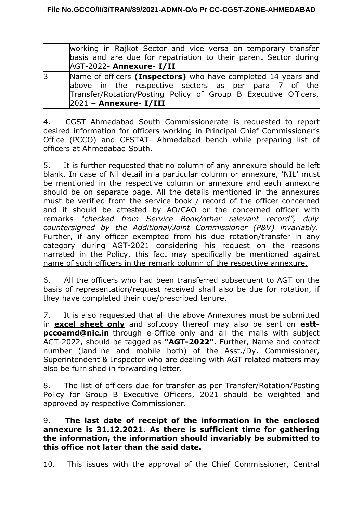| working in Rajkot Sector and vice versa on temporary transfer           |  |  |  |
|-------------------------------------------------------------------------|--|--|--|
| basis and are due for repatriation to their parent Sector during        |  |  |  |
| AGT-2022- Annexure- I/II                                                |  |  |  |
| Marco of effective fractional changes have considered that compared the |  |  |  |

3 Name of officers **(Inspectors)** who have completed 14 years and above in the respective sectors as per para 7 of the Transfer/Rotation/Posting Policy of Group B Executive Officers, 2021 **– Annexure- I/III**

4. CGST Ahmedabad South Commissionerate is requested to report desired information for officers working in Principal Chief Commissioner's Office (PCCO) and CESTAT- Ahmedabad bench while preparing list of officers at Ahmedabad South.

5. It is further requested that no column of any annexure should be left blank. In case of Nil detail in a particular column or annexure, 'NIL' must be mentioned in the respective column or annexure and each annexure should be on separate page. All the details mentioned in the annexures must be verified from the service book / record of the officer concerned and it should be attested by AO/CAO or the concerned officer with remarks *"checked from Service Book/other relevant record", duly countersigned by the Additional/Joint Commissioner (P&V) invariably.* Further, if any officer exempted from his due rotation/transfer in any category during AGT-2021 considering his request on the reasons narrated in the Policy, this fact may specifically be mentioned against name of such officers in the remark column of the respective annexure.

6. All the officers who had been transferred subsequent to AGT on the basis of representation/request received shall also be due for rotation, if they have completed their due/prescribed tenure.

7. It is also requested that all the above Annexures must be submitted in **excel sheet only** and softcopy thereof may also be sent on **esttpccoamd@nic.in** through e-Office only and all the mails with subject AGT-2022, should be tagged as **"AGT-2022"**. Further, Name and contact number (landline and mobile both) of the Asst./Dy. Commissioner, Superintendent & Inspector who are dealing with AGT related matters may also be furnished in forwarding letter.

8. The list of officers due for transfer as per Transfer/Rotation/Posting Policy for Group B Executive Officers, 2021 should be weighted and approved by respective Commissioner.

## 9. **The last date of receipt of the information in the enclosed annexure is 31.12.2021. As there is sufficient time for gathering the information, the information should invariably be submitted to this office not later than the said date.**

10. This issues with the approval of the Chief Commissioner, Central